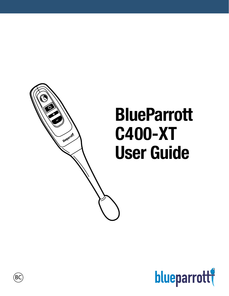# **BlueParrott C400-XT User Guide**





Ő

blueparroll

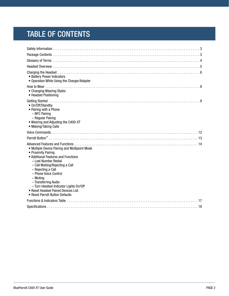# TABLE OF CONTENTS

| • Battery Power Indicators<br>• Operation While Using the Charger/Adapter                                                                                                                                                                                                                                                                                                       |
|---------------------------------------------------------------------------------------------------------------------------------------------------------------------------------------------------------------------------------------------------------------------------------------------------------------------------------------------------------------------------------|
| • Changing Wearing Styles<br>• Headset Positioning                                                                                                                                                                                                                                                                                                                              |
| • On/Off/Standby<br>• Pairing with a Phone<br>- NFC Pairing<br>- Regular Pairing<br>. Wearing and Adjusting the C400-XT<br>• Making/Taking Calls                                                                                                                                                                                                                                |
|                                                                                                                                                                                                                                                                                                                                                                                 |
|                                                                                                                                                                                                                                                                                                                                                                                 |
|                                                                                                                                                                                                                                                                                                                                                                                 |
| • Multiple Device Pairing and Multipoint Mode<br>• Proximity Pairing<br>• Additional Features and Functions<br>- Last Number Redial<br>- Call Waiting/Rejecting a Call<br>- Rejecting a Call<br>- Phone Voice Control<br>$-$ Muting<br>- Transferring Audio<br>- Turn Headset Indicator Lights On/Off<br>• Reset Headset Paired Devices List<br>• Reset Parrott Button Defaults |
|                                                                                                                                                                                                                                                                                                                                                                                 |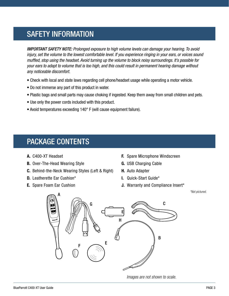# <span id="page-2-0"></span>SAFETY INFORMATION

*IMPORTANT SAFETY NOTE: Prolonged exposure to high volume levels can damage your hearing. To avoid injury, set the volume to the lowest comfortable level. If you experience ringing in your ears, or voices sound muffled, stop using the headset. Avoid turning up the volume to block noisy surroundings. It's possible for your ears to adapt to volume that is too high, and this could result in permanent hearing damage without any noticeable discomfort.*

- Check with local and state laws regarding cell phone/headset usage while operating a motor vehicle.
- Do not immerse any part of this product in water.
- Plastic bags and small parts may cause choking if ingested. Keep them away from small children and pets.
- Use only the power cords included with this product.
- Avoid temperatures exceeding 140° F (will cause equipment failure).

### <span id="page-2-1"></span>PACKAGE CONTENTS

- **A.** C400-XT Headset
- **B.** Over-The-Head Wearing Style
- **C.** Behind-the-Neck Wearing Styles (Left & Right)
- **D.** Leatherette Ear Cushion\*
- **E.** Spare Foam Ear Cushion
- **F.** Spare Microphone Windscreen
- **G.** USB Charging Cable
- **H.** Auto Adapter
- **I.** Quick-Start Guide\*
- **J.** Warranty and Compliance Insert\*

 *\*Not pictured.*



*Images are not shown to scale.*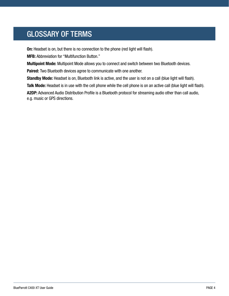# <span id="page-3-0"></span>GLOSSARY OF TERMS

**On:** Headset is on, but there is no connection to the phone (red light will flash).

**MFB:** Abbreviation for "Multifunction Button."

**Multipoint Mode:** Multipoint Mode allows you to connect and switch between two Bluetooth devices.

**Paired:** Two Bluetooth devices agree to communicate with one another.

**Standby Mode:** Headset is on, Bluetooth link is active, and the user is not on a call (blue light will flash).

**Talk Mode:** Headset is in use with the cell phone while the cell phone is on an active call (blue light will flash). **A2DP:** Advanced Audio Distribution Profile is a Bluetooth protocol for streaming audio other than call audio, e.g. music or GPS directions.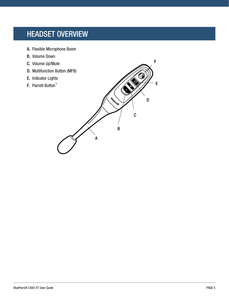### <span id="page-4-0"></span>HEADSET OVERVIEW

- A. Flexible Microphone Boom
- B. Volume Down
- C. Volume Up/Mute
- D. Multifunction Button (MFB)
- E. Indicator Lights
- 

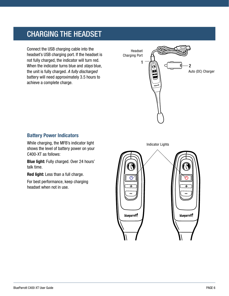### <span id="page-5-0"></span>CHARGING THE HEADSET

Connect the USB charging cable into the headset's USB charging port. If the headset is not fully charged, the indicator will turn red. When the indicator turns blue and *stays* blue, the unit is fully charged. *A fully discharged* battery will need approximately 3.5 hours to achieve a complete charge.



### **Battery Power Indicators**

While charging, the MFB's indicator light shows the level of battery power on your C400-XT as follows:

**Blue light:** Fully charged. Over 24 hours' talk time.

**Red light:** Less than a full charge.

For best performance, keep charging headset when not in use.

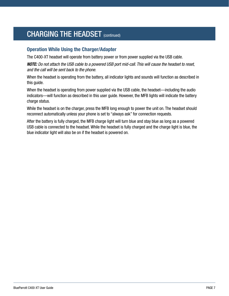### CHARGING THE HEADSET (continued)

### **Operation While Using the Charger/Adapter**

The C400-XT headset will operate from battery power or from power supplied via the USB cable.

*NOTE: Do not attach the USB cable to a powered USB port mid-call. This will cause the headset to reset, and the call will be sent back to the phone.*

When the headset is operating from the battery, all indicator lights and sounds will function as described in this guide.

When the headset is operating from power supplied via the USB cable, the headset—including the audio indicators—will function as described in this user guide. However, the MFB lights will indicate the battery charge status.

While the headset is on the charger, press the MFB long enough to power the unit on. The headset should reconnect automatically unless your phone is set to "always ask" for connection requests.

After the battery is fully charged, the MFB charge light will turn blue and stay blue as long as a powered USB cable is connected to the headset. While the headset is fully charged and the charge light is blue, the blue indicator light will also be on if the headset is powered on.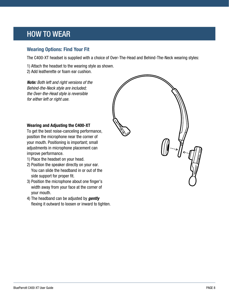### <span id="page-7-0"></span>HOW TO WEAR

### **Wearing Options: Find Your Fit**

The C400-XT headset is supplied with a choice of Over-The-Head and Behind-The-Neck wearing styles:

1) Attach the headset to the wearing style as shown.

2) Add leatherette or foam ear cushion.

*Note: Both left and right versions of the Behind-the-Neck style are included; the Over-the-Head style is reversible for either left or right use.*

### **Wearing and Adjusting the C400-XT**

To get the best noise-canceling performance, position the microphone near the corner of your mouth. Positioning is important; small adjustments in microphone placement can improve performance.

- 1) Place the headset on your head.
- 2) Position the speaker directly on your ear. You can slide the headband in or out of the side support for proper fit.
- 3) Position the microphone about one finger's width away from your face at the corner of your mouth.
- 4) The headband can be adjusted by *gently* flexing it outward to loosen or inward to tighten.

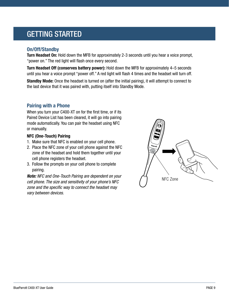### <span id="page-8-0"></span>GETTING STARTED

### **On/Off/Standby**

**Turn Headset On:** Hold down the MFB for approximately 2-3 seconds until you hear a voice prompt, "power on." The red light will flash once every second.

**Turn Headset Off (conserves battery power):** Hold down the MFB for approximately 4–5 seconds until you hear a voice prompt "power off." A red light will flash 4 times and the headset will turn off.

**Standby Mode:** Once the headset is turned on (after the initial pairing), it will attempt to connect to the last device that it was paired with, putting itself into Standby Mode.

### **Pairing with a Phone**

When you turn your C400-XT on for the first time, or if its Paired Device List has been cleared, it will go into pairing mode automatically. You can pair the headset using NFC or manually.

### **NFC (One-Touch) Pairing**

- 1. Make sure that NFC is enabled on your cell phone.
- 2. Place the NFC zone of your cell phone against the NFC zone of the headset and hold them together until your cell phone registers the headset.
- 3. Follow the prompts on your cell phone to complete pairing.

*Note: NFC and One-Touch Pairing are dependent on your cell phone. The size and sensitivity of your phone's NFC zone and the specific way to connect the headset may vary between devices.*

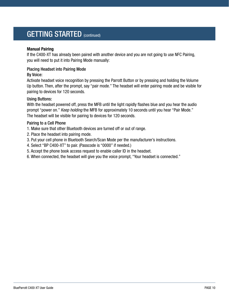### GETTING STARTED (continued)

### **Manual Pairing**

If the C400-XT has already been paired with another device and you are not going to use NFC Pairing, you will need to put it into Pairing Mode manually:

### Placing Headset into Pairing Mode

### By Voice:

Activate headset voice recognition by pressing the Parrott Button or by pressing and holding the Volume Up button. Then, after the prompt, say "pair mode." The headset will enter pairing mode and be visible for pairing to devices for 120 seconds.

### Using Buttons:

With the headset powered off, press the MFB until the light rapidly flashes blue and you hear the audio prompt "power on." *Keep holding* the MFB for approximately 10 seconds until you hear "Pair Mode." The headset will be visible for pairing to devices for 120 seconds.

### Pairing to a Cell Phone

- 1. Make sure that other Bluetooth devices are turned off or out of range.
- 2. Place the headset into pairing mode.
- 3. Put your cell phone in Bluetooth Search/Scan Mode per the manufacturer's instructions.
- 4. Select "BP C400-XT" to pair. (Passcode is "0000" if needed.)
- 5. Accept the phone book access request to enable caller ID in the headset.
- 6. When connected, the headset will give you the voice prompt, "Your headset is connected."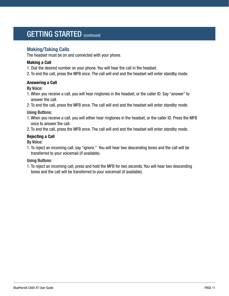### GETTING STARTED (continued)

### **Making/Taking Calls**

The headset must be on and connected with your phone.

### **Making a Call**

- 1. Dial the desired number on your phone. You will hear the call in the headset.
- 2. To end the call, press the MFB once. The call will end and the headset will enter standby mode.

### **Answering a Call**

### By Voice:

- 1. When you receive a call, you will hear ringtones in the headset, or the caller ID. Say "answer" to answer the call.
- 2. To end the call, press the MFB once. The call will end and the headset will enter standby mode.

### Using Buttons:

- 1. When you receive a call, you will either hear ringtones in the headset, or the caller ID. Press the MFB once to answer the call.
- 2. To end the call, press the MFB once. The call will end and the headset will enter standby mode.

### **Rejecting a Call**

### By Voice:

1. To reject an incoming call, say "ignore." You will hear two descending tones and the call will be transferred to your voicemail (if available).

### Using Buttons:

1. To reject an incoming call, press and hold the MFB for two seconds. You will hear two descending tones and the call will be transferred to your voicemail (if available).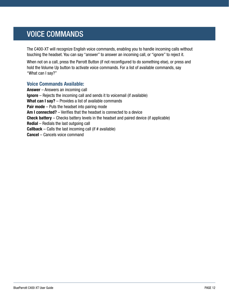### <span id="page-11-0"></span>VOICE COMMANDS

The C400-XT will recognize English voice commands, enabling you to handle incoming calls without touching the headset. You can say "answer" to answer an incoming call, or "ignore" to reject it.

When not on a call, press the Parrott Button (if not reconfigured to do something else), or press and hold the Volume Up button to activate voice commands. For a list of available commands, say "What can I say?"

### **Voice Commands Available:**

**Answer** – Answers an incoming call **Ignore** – Rejects the incoming call and sends it to voicemail (if available) **What can I say?** – Provides a list of available commands **Pair mode** – Puts the headset into pairing mode **Am I connected?** – Verifies that the headset is connected to a device **Check battery** – Checks battery levels in the headset and paired device (if applicable) **Redial** – Redials the last outgoing call **Callback** – Calls the last incoming call (if # available) **Cancel** – Cancels voice command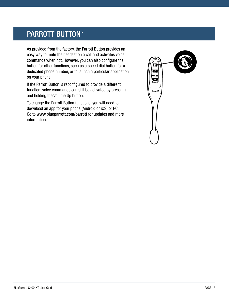### <span id="page-12-0"></span>**PARROTT BUTTON™**

As provided from the factory, the Parrott Button provides an easy way to mute the headset on a call and activates voice commands when not. However, you can also configure the button for other functions, such as a speed dial button for a dedicated phone number, or to launch a particular application on your phone.

If the Parrott Button is reconfigured to provide a different function, voice commands can still be activated by pressing and holding the Volume Up button.

To change the Parrott Button functions, you will need to download an app for your phone (Android or iOS) or PC. Go to www.blueparrott.com/parrott for updates and more information.

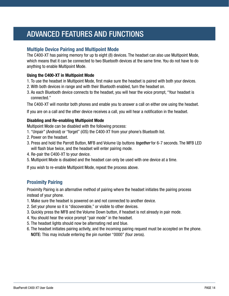### <span id="page-13-0"></span>ADVANCED FEATURES AND FUNCTIONS

### **Multiple Device Pairing and Multipoint Mode**

The C400-XT has pairing memory for up to eight (8) devices. The headset can also use Multipoint Mode, which means that it can be connected to two Bluetooth devices at the same time. You do not have to do anything to enable Multipoint Mode.

### **Using the C400-XT in Multipoint Mode**

- 1. To use the headset in Multipoint Mode, first make sure the headset is paired with both your devices.
- 2. With both devices in range and with their Bluetooth enabled, turn the headset on.
- 3. As each Bluetooth device connects to the headset, you will hear the voice prompt, "Your headset is connected."

The C400-XT will monitor both phones and enable you to answer a call on either one using the headset.

If you are on a call and the other device receives a call, you will hear a notification in the headset.

### **Disabling and Re-enabling Multipoint Mode**

Multipoint Mode can be disabled with the following process:

- 1. "Unpair" (Android) or "forget" (iOS) the C400-XT from your phone's Bluetooth list.
- 2. Power on the headset.
- 3. Press and hold the Parrott Button, MFB and Volume Up buttons *together* for 6-7 seconds. The MFB LED will flash blue twice, and the headset will enter pairing mode.
- 4. Re-pair the C400-XT to your device.
- 5. Multipoint Mode is disabled and the headset can only be used with one device at a time.

If you wish to re-enable Multipoint Mode, repeat the process above.

### **Proximity Pairing**

Proximity Pairing is an alternative method of pairing where the headset initiates the pairing process instead of your phone.

- 1. Make sure the headset is powered on and not connected to another device.
- 2. Set your phone so it is "discoverable," or visible to other devices.
- 3. Quickly press the MFB and the Volume Down button, if headset is not already in pair mode.
- 4. You should hear the voice prompt "pair mode" in the headset.
- 5. The headset lights should now be alternating red and blue.
- 6. The headset initiates pairing activity, and the incoming pairing request must be accepted on the phone. NOTE: This may include entering the pin number "0000" (four zeros).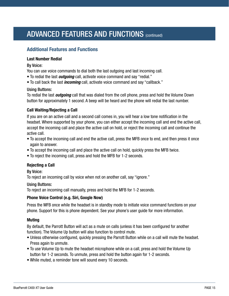# ADVANCED FEATURES AND FUNCTIONS (CONTINUED)

### **Additional Features and Functions**

#### **Last Number Redial**

#### By Voice:

You can use voice commands to dial both the last outgoing and last incoming call.

- To redial the last *outgoing* call, activate voice command and say "redial."
- To call back the last *incoming* call, activate voice command and say "callback."

### Using Buttons:

To redial the last *outgoing* call that was dialed from the cell phone, press and hold the Volume Down button for approximately 1 second. A beep will be heard and the phone will redial the last number.

### **Call Waiting/Rejecting a Call**

If you are on an active call and a second call comes in, you will hear a low tone notification in the headset. Where supported by your phone, you can either accept the incoming call and end the active call, accept the incoming call and place the active call on hold, or reject the incoming call and continue the active call.

- To accept the incoming call and end the active call, press the MFB once to end, and then press it once again to answer.
- To accept the incoming call and place the active call on hold, quickly press the MFB twice.
- To reject the incoming call, press and hold the MFB for 1-2 seconds.

### **Rejecting a Call**

### By Voice:

To reject an incoming call by voice when not on another call, say "ignore."

### Using Buttons:

To reject an incoming call manually, press and hold the MFB for 1-2 seconds.

### **Phone Voice Control (e.g. Siri, Google Now)**

Press the MFB once while the headset is in standby mode to initiate voice command functions on your phone. Support for this is phone dependent. See your phone's user guide for more information.

### **Muting**

By default, the Parrott Button will act as a mute on calls (unless it has been configured for another function). The Volume Up button will also function to control mute.

- Unless otherwise configured, quickly pressing the Parrott Button while on a call will mute the headset. Press again to unmute.
- To use Volume Up to mute the headset microphone while on a call, press and hold the Volume Up button for 1-2 seconds. To unmute, press and hold the button again for 1-2 seconds.
- While muted, a reminder tone will sound every 10 seconds.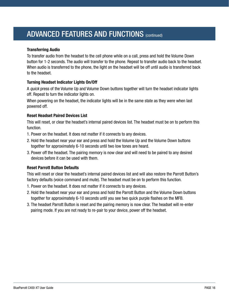### ADVANCED FEATURES AND FUNCTIONS (CONTINUED)

### **Transferring Audio**

To transfer audio from the headset to the cell phone while on a call, press and hold the Volume Down button for 1-2 seconds. The audio will transfer to the phone. Repeat to transfer audio back to the headset. When audio is transferred to the phone, the light on the headset will be off until audio is transferred back to the headset.

### **Turning Headset Indicator Lights On/Off**

A *quick* press of the Volume Up and Volume Down buttons together will turn the headset indicator lights off. Repeat to turn the indicator lights on.

When powering on the headset, the indicator lights will be in the same state as they were when last powered off.

### **Reset Headset Paired Devices List**

This will reset, or clear the headset's internal paired devices list. The headset must be on to perform this function.

- 1. Power on the headset. It does not matter if it connects to any devices.
- 2. Hold the headset near your ear and press and hold the Volume Up and the Volume Down buttons together for approximately 6-10 seconds until two low tones are heard.
- 3. Power off the headset. The pairing memory is now clear and will need to be paired to any desired devices before it can be used with them.

### **Reset Parrott Button Defaults**

This will reset or clear the headset's internal paired devices list and will also restore the Parrott Button's factory defaults (voice command and mute). The headset must be on to perform this function.

- 1. Power on the headset. It does not matter if it connects to any devices.
- 2. Hold the headset near your ear and press and hold the Parrott Button and the Volume Down buttons together for approximately 6-10 seconds until you see two quick purple flashes on the MFB.
- 3. The headset Parrott Button is reset and the pairing memory is now clear. The headset will re-enter pairing mode. If you are not ready to re-pair to your device, power off the headset.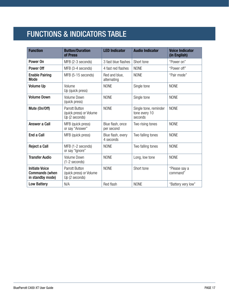# <span id="page-16-0"></span>FUNCTIONS & INDICATORS TABLE

| <b>Function</b>                                                    | <b>Button/Duration</b><br>of Press                                 | <b>LED Indicator</b>           | <b>Audio Indicator</b>                            | <b>Voice Indicator</b><br>(in English) |
|--------------------------------------------------------------------|--------------------------------------------------------------------|--------------------------------|---------------------------------------------------|----------------------------------------|
| Power On                                                           | MFB (2-3 seconds)                                                  | 3 fast blue flashes            | Short tone                                        | "Power on"                             |
| Power Off                                                          | MFB (3-4 seconds)                                                  | 4 fast red flashes             | <b>NONE</b>                                       | "Power off"                            |
| <b>Enable Pairing</b><br><b>Mode</b>                               | MFB (5-15 seconds)                                                 | Red and blue,<br>alternating   | <b>NONE</b>                                       | "Pair mode"                            |
| <b>Volume Up</b>                                                   | Volume<br>Up (quick press)                                         | <b>NONE</b>                    | Single tone                                       | <b>NONE</b>                            |
| <b>Volume Down</b>                                                 | <b>Volume Down</b><br>(quick press)                                | <b>NONE</b>                    | Single tone                                       | <b>NONE</b>                            |
| Mute (On/Off)                                                      | <b>Parrott Button</b><br>(quick press) or Volume<br>Up (2 seconds) | <b>NONE</b>                    | Single tone, reminder<br>tone every 10<br>seconds | <b>NONE</b>                            |
| Answer a Call                                                      | MFB (quick press)<br>or say "Answer"                               | Blue flash, once<br>per second | Two rising tones                                  | <b>NONE</b>                            |
| End a Call                                                         | MFB (quick press)                                                  | Blue flash, every<br>4 seconds | Two falling tones                                 | <b>NONE</b>                            |
| <b>Reject a Call</b>                                               | MFB (1-2 seconds)<br>or say "Ignore"                               | <b>NONE</b>                    | Two falling tones                                 | <b>NONE</b>                            |
| <b>Transfer Audio</b>                                              | <b>Volume Down</b><br>$(1-2$ seconds)                              | <b>NONE</b>                    | Long, low tone                                    | <b>NONE</b>                            |
| <b>Initiate Voice</b><br><b>Commands (when</b><br>in standby mode) | <b>Parrott Button</b><br>(quick press) or Volume<br>Up (2 seconds) | <b>NONE</b>                    | Short tone                                        | "Please say a<br>command"              |
| <b>Low Battery</b>                                                 | N/A                                                                | Red flash                      | <b>NONE</b>                                       | "Battery very low"                     |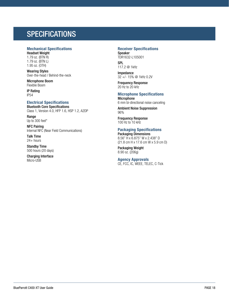### <span id="page-17-0"></span>**SPECIFICATIONS**

#### **Mechanical Specifications**

Headset Weight 1.79 oz. (BTN R) 1.79 oz. (BTN L) 1.95 oz. (OTH)

Wearing Styles Over-the-head / Behind-the-neck

Microphone Boom Flexible Boom

IP Rating IP54

#### **Electrical Specifications**

Bluetooth Core Specifications Class 1, Version 4.0, HFP 1.6, HSP 1.2, A2DP

Range Up to 300 feet\*

NFC Pairing Internal NFC (Near Field Communications)

Talk Time 24+ hours

Standby Time 500 hours (20 days)

Charging Interface Micro-USB

#### **Receiver Specifications**

Speaker TDR1632-L105001 **SPL** 

117.2 @ 1kHz

Impedance 32 +/- 15% @ 1kHz 0.2V

Frequency Response 20 Hz to 20 kHz

#### **Microphone Specifications**

**Microphone** 6 mm bi-directional noise canceling

Ambient Noise Suppression 96%

Frequency Response 100 Hz to 10 kHz

### **Packaging Specifications**

Packaging Dimensions 8.56" H x 6.875" W x 2.438" D (21.8 cm H x 17.6 cm W x 5.9 cm D)

Packaging Weight 8.90 oz. (206g)

#### **Agency Approvals**  CE, FCC, IC, WEEE, TELEC, C-Tick